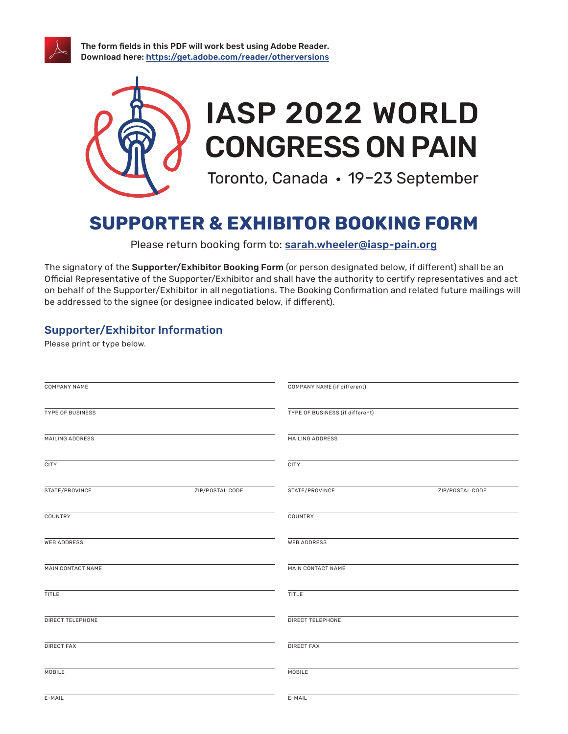

The form fields in this PDF will work best using Adobe Reader. Download here: https://get.adobe.com/reader/otherversions



# **SUPPORTER & EXHIBITOR BOOKING FORM**

Please return booking form to: sarah.wheeler@iasp-pain.org

The signatory of the Supporter/Exhibitor Booking Form (or person designated below, if different) shall be an Official Representative of the Supporter/Exhibitor and shall have the authority to certify representatives and act on behalf of the Supporter/Exhibitor in all negotiations. The Booking Confirmation and related future mailings will be addressed to the signee (or designee indicated below, if different).

# Supporter/Exhibitor Information

Please print or type below.

| <b>COMPANY NAME</b> |                 | COMPANY NAME (if different)     |                 |
|---------------------|-----------------|---------------------------------|-----------------|
| TYPE OF BUSINESS    |                 | TYPE OF BUSINESS (if different) |                 |
| MAILING ADDRESS     |                 | MAILING ADDRESS                 |                 |
| <b>CITY</b>         |                 | <b>CITY</b>                     |                 |
| STATE/PROVINCE      | ZIP/POSTAL CODE | STATE/PROVINCE                  | ZIP/POSTAL CODE |
| COUNTRY             |                 | COUNTRY                         |                 |
| <b>WEB ADDRESS</b>  |                 | <b>WEB ADDRESS</b>              |                 |
| MAIN CONTACT NAME   |                 | MAIN CONTACT NAME               |                 |
| <b>TITLE</b>        |                 | <b>TITLE</b>                    |                 |
| DIRECT TELEPHONE    |                 | DIRECT TELEPHONE                |                 |
| <b>DIRECT FAX</b>   |                 | <b>DIRECT FAX</b>               |                 |
| MOBILE              |                 | MOBILE                          |                 |
| E-MAIL              |                 | E-MAIL                          |                 |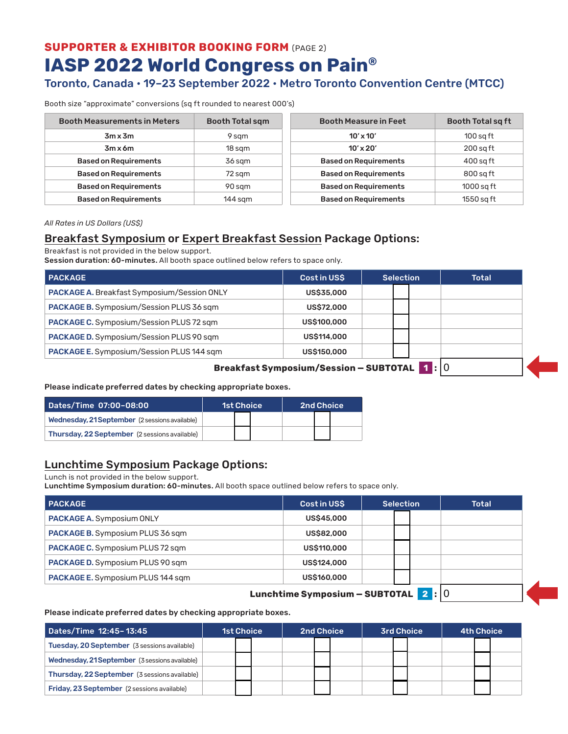**SUPPORTER & EXHIBITOR BOOKING FORM** (PAGE 2) **IASP 2022 World Congress on Pain®**

# Toronto, Canada • 19–23 September 2022 • Metro Toronto Convention Centre (MTCC)

Booth size "approximate" conversions (sq ft rounded to nearest 000's)

| <b>Booth Measurements in Meters</b> | <b>Booth Total sqm</b> | <b>Booth Measure in Feet</b> | <b>Booth Total sq ft</b> |
|-------------------------------------|------------------------|------------------------------|--------------------------|
| $3m \times 3m$                      | 9 sqm                  | $10' \times 10'$             | $100$ sq ft              |
| $3m \times 6m$                      | 18 sam                 | $10' \times 20'$             | $200$ sa ft              |
| <b>Based on Requirements</b>        | 36 sqm                 | <b>Based on Requirements</b> | $400$ sq ft              |
| <b>Based on Requirements</b>        | 72 sqm                 | <b>Based on Requirements</b> | 800 sq ft                |
| <b>Based on Requirements</b>        | 90 sqm                 | <b>Based on Requirements</b> | $1000$ sq ft             |
| <b>Based on Requirements</b>        | $144$ sqm              | <b>Based on Requirements</b> | 1550 sg ft               |

*All Rates in US Dollars (US\$)*

## Breakfast Symposium or Expert Breakfast Session Package Options:

Breakfast is not provided in the below support.

Session duration: 60-minutes. All booth space outlined below refers to space only.

| <b>PACKAGE</b>                                     | Cost in USS       | <b>Selection</b> |  | <b>Total</b> |  |  |  |
|----------------------------------------------------|-------------------|------------------|--|--------------|--|--|--|
| PACKAGE A. Breakfast Symposium/Session ONLY        | <b>US\$35,000</b> |                  |  |              |  |  |  |
| <b>PACKAGE B.</b> Symposium/Session PLUS 36 sqm    | <b>US\$72,000</b> |                  |  |              |  |  |  |
| <b>PACKAGE C.</b> Symposium/Session PLUS 72 sqm    | US\$100,000       |                  |  |              |  |  |  |
| <b>PACKAGE D.</b> Symposium/Session PLUS 90 sqm    | US\$114,000       |                  |  |              |  |  |  |
| <b>PACKAGE E.</b> Symposium/Session PLUS 144 sqm   | US\$150,000       |                  |  |              |  |  |  |
| <b>Breakfast Symposium/Session - SUBTOTAL 1:</b> 0 |                   |                  |  |              |  |  |  |

### Please indicate preferred dates by checking appropriate boxes.

| Dates/Time 07:00-08:00                               | <b>1st Choice</b> |  | 2nd Choice |  |  |  |
|------------------------------------------------------|-------------------|--|------------|--|--|--|
| Wednesday, 21 September (2 sessions available)       |                   |  |            |  |  |  |
| <b>Thursday, 22 September</b> (2 sessions available) |                   |  |            |  |  |  |

## Lunchtime Symposium Package Options:

Lunch is not provided in the below support.

Lunchtime Symposium duration: 60-minutes. All booth space outlined below refers to space only.

| <b>PACKAGE</b>                           | Cost in USS        | <b>Selection</b> | <b>Total</b> |
|------------------------------------------|--------------------|------------------|--------------|
| <b>PACKAGE A. Symposium ONLY</b>         | <b>US\$45,000</b>  |                  |              |
| <b>PACKAGE B.</b> Symposium PLUS 36 sqm  | <b>US\$82,000</b>  |                  |              |
| <b>PACKAGE C.</b> Symposium PLUS 72 sqm  | <b>US\$110,000</b> |                  |              |
| <b>PACKAGE D.</b> Symposium PLUS 90 sqm  | US\$124,000        |                  |              |
| <b>PACKAGE E.</b> Symposium PLUS 144 sqm | US\$160,000        |                  |              |
|                                          | _________          |                  | $\sim$       |

### **Lunchtime Symposium — SUBTOTAL 2 :** 0

### Please indicate preferred dates by checking appropriate boxes.

| Dates/Time 12:45-13:45                              | <b>1st Choice</b> |  | <b>2nd Choice</b> |  |  | <b>3rd Choice</b> |  |  | <b>4th Choice</b> |  |  |
|-----------------------------------------------------|-------------------|--|-------------------|--|--|-------------------|--|--|-------------------|--|--|
| <b>Tuesday, 20 September</b> (3 sessions available) |                   |  |                   |  |  |                   |  |  |                   |  |  |
| Wednesday, 21 September (3 sessions available)      |                   |  |                   |  |  |                   |  |  |                   |  |  |
| Thursday, 22 September (3 sessions available)       |                   |  |                   |  |  |                   |  |  |                   |  |  |
| <b>Friday, 23 September</b> (2 sessions available)  |                   |  |                   |  |  |                   |  |  |                   |  |  |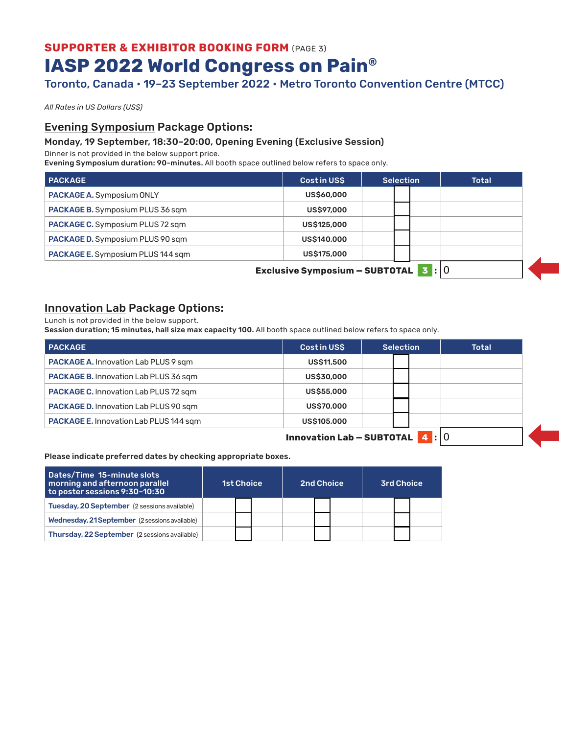# **SUPPORTER & EXHIBITOR BOOKING FORM (PAGE 3) IASP 2022 World Congress on Pain®**

# Toronto, Canada • 19–23 September 2022 • Metro Toronto Convention Centre (MTCC)

*All Rates in US Dollars (US\$)*

## Evening Symposium Package Options:

### Monday, 19 September, 18:30–20:00, Opening Evening (Exclusive Session)

Dinner is not provided in the below support price.

Evening Symposium duration: 90-minutes. All booth space outlined below refers to space only.

| <b>PACKAGE</b>                             | <b>Cost in USS</b> | Selection | <b>Total</b> |  |  |  |  |  |
|--------------------------------------------|--------------------|-----------|--------------|--|--|--|--|--|
| <b>PACKAGE A.</b> Symposium ONLY           | <b>US\$60,000</b>  |           |              |  |  |  |  |  |
| <b>PACKAGE B.</b> Symposium PLUS 36 sqm    | <b>US\$97,000</b>  |           |              |  |  |  |  |  |
| <b>PACKAGE C.</b> Symposium PLUS 72 sqm    | <b>US\$125,000</b> |           |              |  |  |  |  |  |
| <b>PACKAGE D.</b> Symposium PLUS 90 sqm    | US\$140,000        |           |              |  |  |  |  |  |
| <b>PACKAGE E.</b> Symposium PLUS 144 sqm   | <b>US\$175,000</b> |           |              |  |  |  |  |  |
| <b>Exclusive Symposium - SUBTOTAL 3:00</b> |                    |           |              |  |  |  |  |  |

## Innovation Lab Package Options:

Lunch is not provided in the below support.

Session duration; 15 minutes, hall size max capacity 100. All booth space outlined below refers to space only.

| <b>PACKAGE</b>                                | <b>Cost in USS</b> | <b>Selection</b> | <b>Total</b> |  |  |  |
|-----------------------------------------------|--------------------|------------------|--------------|--|--|--|
| <b>PACKAGE A. Innovation Lab PLUS 9 sqm</b>   | <b>US\$11,500</b>  |                  |              |  |  |  |
| <b>PACKAGE B. Innovation Lab PLUS 36 sqm</b>  | <b>US\$30,000</b>  |                  |              |  |  |  |
| <b>PACKAGE C.</b> Innovation Lab PLUS 72 sqm  | <b>US\$55,000</b>  |                  |              |  |  |  |
| <b>PACKAGE D.</b> Innovation Lab PLUS 90 sqm  | <b>US\$70,000</b>  |                  |              |  |  |  |
| <b>PACKAGE E. Innovation Lab PLUS 144 sqm</b> | <b>US\$105,000</b> |                  |              |  |  |  |
| <b>Innovation Lab - SUBTOTAL</b><br>4   10    |                    |                  |              |  |  |  |

Please indicate preferred dates by checking appropriate boxes.

| Dates/Time 15-minute slots<br>morning and afternoon parallel<br>to poster sessions 9:30-10:30 | <b>1st Choice</b> |  |  | <b>2nd Choice</b> |  |  | <b>3rd Choice</b> |  |  |
|-----------------------------------------------------------------------------------------------|-------------------|--|--|-------------------|--|--|-------------------|--|--|
| Tuesday, 20 September (2 sessions available)                                                  |                   |  |  |                   |  |  |                   |  |  |
| Wednesday, 21 September (2 sessions available)                                                |                   |  |  |                   |  |  |                   |  |  |
| Thursday, 22 September (2 sessions available)                                                 |                   |  |  |                   |  |  |                   |  |  |